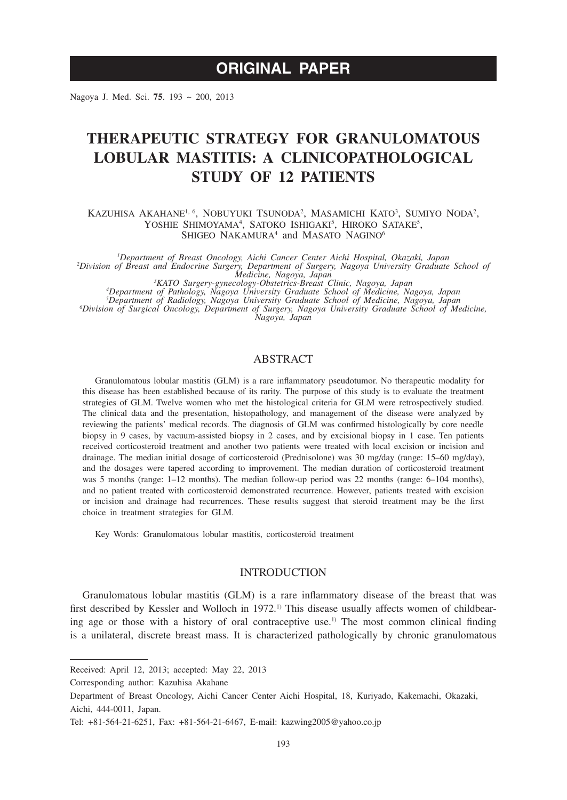# **ORIGINAL PAPER**

Nagoya J. Med. Sci. **75**. 193 ~ 200, 2013

# **THERAPEUTIC STRATEGY FOR GRANULOMATOUS LOBULAR MASTITIS: A CLINICOPATHOLOGICAL STUDY OF 12 PATIENTS**

Kazuhisa Akahane<sup>i, 6</sup>, Nobuyuki Tsunoda<sup>2</sup>, Masamichi Kato<sup>3</sup>, Sumiyo Noda<sup>2</sup>, YOSHIE SHIMOYAMA<sup>4</sup>, SATOKO ISHIGAKI<sup>5</sup>, HIROKO SATAKE<sup>5</sup>, SHIGEO NAKAMURA<sup>4</sup> and MASATO NAGINO<sup>6</sup>

*1 Department of Breast Oncology, Aichi Cancer Center Aichi Hospital, Okazaki, Japan <sup>2</sup> Division of Breast and Endocrine Surgery, Department of Surgery, Nagoya University Graduate School of* 

Medicine, Nagoya, Japan<br><sup>3</sup>KATO Surgery-gynecology-Obstetrics-Breast Clinic, Nagoya, Japan<br><sup>3</sup>Department of Radiology, Nagoya University Graduate School of Medicine, Nagoya, Japan<br><sup>5</sup>Department of Radiology, Nagoya Univers *Division of Surgical Oncology, Department of Surgery, Nagoya University Graduate School of Medicine, Nagoya, Japan*

# ABSTRACT

Granulomatous lobular mastitis (GLM) is a rare inflammatory pseudotumor. No therapeutic modality for this disease has been established because of its rarity. The purpose of this study is to evaluate the treatment strategies of GLM. Twelve women who met the histological criteria for GLM were retrospectively studied. The clinical data and the presentation, histopathology, and management of the disease were analyzed by reviewing the patients' medical records. The diagnosis of GLM was confirmed histologically by core needle biopsy in 9 cases, by vacuum-assisted biopsy in 2 cases, and by excisional biopsy in 1 case. Ten patients received corticosteroid treatment and another two patients were treated with local excision or incision and drainage. The median initial dosage of corticosteroid (Prednisolone) was 30 mg/day (range: 15–60 mg/day), and the dosages were tapered according to improvement. The median duration of corticosteroid treatment was 5 months (range: 1–12 months). The median follow-up period was 22 months (range: 6–104 months), and no patient treated with corticosteroid demonstrated recurrence. However, patients treated with excision or incision and drainage had recurrences. These results suggest that steroid treatment may be the first choice in treatment strategies for GLM.

Key Words: Granulomatous lobular mastitis, corticosteroid treatment

### INTRODUCTION

Granulomatous lobular mastitis (GLM) is a rare inflammatory disease of the breast that was first described by Kessler and Wolloch in 1972.<sup>1)</sup> This disease usually affects women of childbearing age or those with a history of oral contraceptive use.<sup>1)</sup> The most common clinical finding is a unilateral, discrete breast mass. It is characterized pathologically by chronic granulomatous

Corresponding author: Kazuhisa Akahane

Received: April 12, 2013; accepted: May 22, 2013

Department of Breast Oncology, Aichi Cancer Center Aichi Hospital, 18, Kuriyado, Kakemachi, Okazaki, Aichi, 444-0011, Japan.

Tel: +81-564-21-6251, Fax: +81-564-21-6467, E-mail: kazwing2005@yahoo.co.jp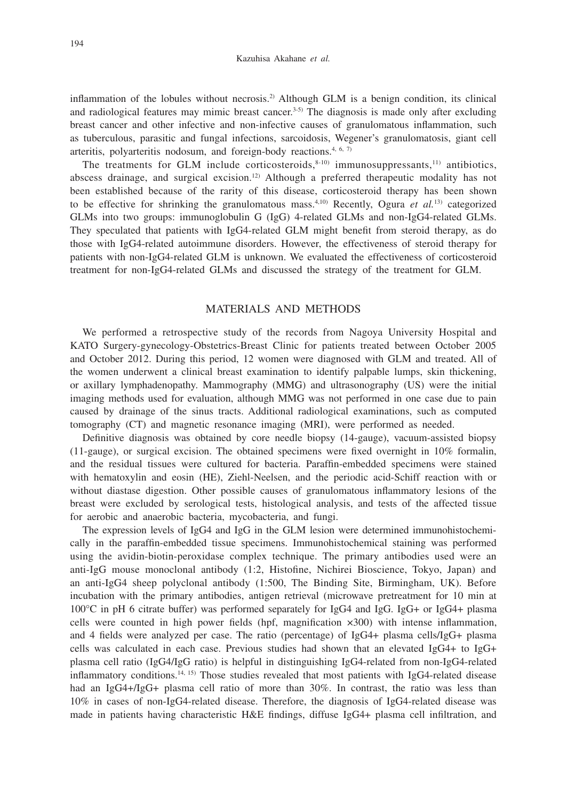inflammation of the lobules without necrosis.2) Although GLM is a benign condition, its clinical and radiological features may mimic breast cancer.<sup>3-5)</sup> The diagnosis is made only after excluding breast cancer and other infective and non-infective causes of granulomatous inflammation, such as tuberculous, parasitic and fungal infections, sarcoidosis, Wegener's granulomatosis, giant cell arteritis, polyarteritis nodosum, and foreign-body reactions.<sup>4, 6, 7)</sup>

The treatments for GLM include corticosteroids, $8-10$  immunosuppressants,<sup>11)</sup> antibiotics, abscess drainage, and surgical excision.12) Although a preferred therapeutic modality has not been established because of the rarity of this disease, corticosteroid therapy has been shown to be effective for shrinking the granulomatous mass.4,10) Recently, Ogura *et al.*13) categorized GLMs into two groups: immunoglobulin G (IgG) 4-related GLMs and non-IgG4-related GLMs. They speculated that patients with IgG4-related GLM might benefit from steroid therapy, as do those with IgG4-related autoimmune disorders. However, the effectiveness of steroid therapy for patients with non-IgG4-related GLM is unknown. We evaluated the effectiveness of corticosteroid treatment for non-IgG4-related GLMs and discussed the strategy of the treatment for GLM.

#### MATERIALS AND METHODS

We performed a retrospective study of the records from Nagoya University Hospital and KATO Surgery-gynecology-Obstetrics-Breast Clinic for patients treated between October 2005 and October 2012. During this period, 12 women were diagnosed with GLM and treated. All of the women underwent a clinical breast examination to identify palpable lumps, skin thickening, or axillary lymphadenopathy. Mammography (MMG) and ultrasonography (US) were the initial imaging methods used for evaluation, although MMG was not performed in one case due to pain caused by drainage of the sinus tracts. Additional radiological examinations, such as computed tomography (CT) and magnetic resonance imaging (MRI), were performed as needed.

Definitive diagnosis was obtained by core needle biopsy (14-gauge), vacuum-assisted biopsy (11-gauge), or surgical excision. The obtained specimens were fixed overnight in 10% formalin, and the residual tissues were cultured for bacteria. Paraffin-embedded specimens were stained with hematoxylin and eosin (HE), Ziehl-Neelsen, and the periodic acid-Schiff reaction with or without diastase digestion. Other possible causes of granulomatous inflammatory lesions of the breast were excluded by serological tests, histological analysis, and tests of the affected tissue for aerobic and anaerobic bacteria, mycobacteria, and fungi.

The expression levels of IgG4 and IgG in the GLM lesion were determined immunohistochemically in the paraffin-embedded tissue specimens. Immunohistochemical staining was performed using the avidin-biotin-peroxidase complex technique. The primary antibodies used were an anti-IgG mouse monoclonal antibody (1:2, Histofine, Nichirei Bioscience, Tokyo, Japan) and an anti-IgG4 sheep polyclonal antibody (1:500, The Binding Site, Birmingham, UK). Before incubation with the primary antibodies, antigen retrieval (microwave pretreatment for 10 min at 100°C in pH 6 citrate buffer) was performed separately for IgG4 and IgG. IgG+ or IgG4+ plasma cells were counted in high power fields (hpf, magnification ×300) with intense inflammation, and 4 fields were analyzed per case. The ratio (percentage) of IgG4+ plasma cells/IgG+ plasma cells was calculated in each case. Previous studies had shown that an elevated IgG4+ to IgG+ plasma cell ratio (IgG4/IgG ratio) is helpful in distinguishing IgG4-related from non-IgG4-related inflammatory conditions.<sup>14, 15</sup> Those studies revealed that most patients with IgG4-related disease had an IgG4+/IgG+ plasma cell ratio of more than 30%. In contrast, the ratio was less than 10% in cases of non-IgG4-related disease. Therefore, the diagnosis of IgG4-related disease was made in patients having characteristic H&E findings, diffuse IgG4+ plasma cell infiltration, and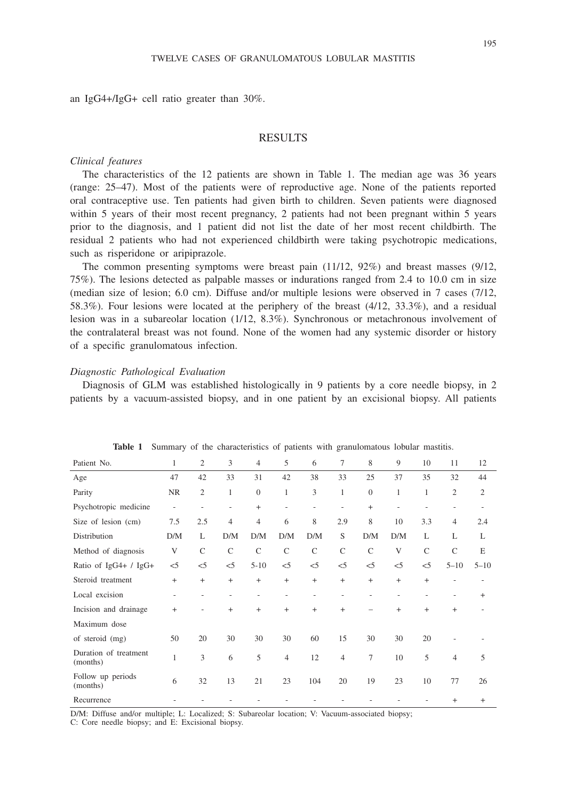an IgG4+/IgG+ cell ratio greater than 30%.

#### RESULTS

## *Clinical features*

The characteristics of the 12 patients are shown in Table 1. The median age was 36 years (range: 25–47). Most of the patients were of reproductive age. None of the patients reported oral contraceptive use. Ten patients had given birth to children. Seven patients were diagnosed within 5 years of their most recent pregnancy, 2 patients had not been pregnant within 5 years prior to the diagnosis, and 1 patient did not list the date of her most recent childbirth. The residual 2 patients who had not experienced childbirth were taking psychotropic medications, such as risperidone or aripiprazole.

The common presenting symptoms were breast pain (11/12, 92%) and breast masses (9/12, 75%). The lesions detected as palpable masses or indurations ranged from 2.4 to 10.0 cm in size (median size of lesion; 6.0 cm). Diffuse and/or multiple lesions were observed in 7 cases (7/12, 58.3%). Four lesions were located at the periphery of the breast (4/12, 33.3%), and a residual lesion was in a subareolar location (1/12, 8.3%). Synchronous or metachronous involvement of the contralateral breast was not found. None of the women had any systemic disorder or history of a specific granulomatous infection.

#### *Diagnostic Pathological Evaluation*

Diagnosis of GLM was established histologically in 9 patients by a core needle biopsy, in 2 patients by a vacuum-assisted biopsy, and in one patient by an excisional biopsy. All patients

| Patient No.                       | 1                                | 2              | 3                        | 4              | 5              | 6              | 7                        | 8             | 9         | 10           | 11                       | 12             |
|-----------------------------------|----------------------------------|----------------|--------------------------|----------------|----------------|----------------|--------------------------|---------------|-----------|--------------|--------------------------|----------------|
| Age                               | 47                               | 42             | 33                       | 31             | 42             | 38             | 33                       | 25            | 37        | 35           | 32                       | 44             |
| Parity                            | <b>NR</b>                        | $\overline{c}$ | 1                        | $\overline{0}$ | 1              | $\overline{3}$ | $\mathbf{1}$             | $\theta$      | 1         | 1            | $\mathfrak{2}$           | $\overline{2}$ |
| Psychotropic medicine             | -                                | ٠              | $\overline{\phantom{a}}$ | $^{+}$         |                | $\overline{a}$ | $\overline{\phantom{0}}$ | $+$           | ٠         |              | $\overline{\phantom{a}}$ |                |
| Size of lesion (cm)               | 7.5                              | 2.5            | 4                        | 4              | 6              | 8              | 2.9                      | 8             | 10        | 3.3          | $\overline{4}$           | 2.4            |
| Distribution                      | D/M                              | L              | D/M                      | D/M            | D/M            | D/M            | S                        | D/M           | D/M       | L            | L                        | L              |
| Method of diagnosis               | V                                | $\mathcal{C}$  | $\mathsf{C}$             | $\mathsf{C}$   | $\mathsf{C}$   | $\mathsf{C}$   | $\mathsf{C}$             | $\mathcal{C}$ | V         | $\mathsf{C}$ | $\mathcal{C}$            | E              |
| Ratio of IgG4+ / IgG+             | $<$ 5                            | $<$ 5          | $< 5$                    | $5 - 10$       | $<$ 5          | $<$ 5          | $<$ 5                    | $<$ 5         | $<$ 5     | $<$ 5        | $5 - 10$                 | $5 - 10$       |
| Steroid treatment                 | $+$                              | $+$            | $+$                      | $+$            | $+$            | $+$            | $+$                      | $+$           | $^{+}$    | $+$          |                          |                |
| Local excision                    | -                                |                |                          |                |                |                |                          |               |           |              |                          | $^{+}$         |
| Incision and drainage             | $\begin{array}{c} + \end{array}$ |                | $\ddot{}$                | $+$            | $+$            | $+$            | $+$                      |               | $\ddot{}$ | $^{+}$       | $+$                      |                |
| Maximum dose                      |                                  |                |                          |                |                |                |                          |               |           |              |                          |                |
| of steroid (mg)                   | 50                               | 20             | 30                       | 30             | 30             | 60             | 15                       | 30            | 30        | 20           |                          |                |
| Duration of treatment<br>(months) | 1                                | 3              | 6                        | 5              | $\overline{4}$ | 12             | $\overline{4}$           | 7             | 10        | 5            | $\overline{4}$           | 5              |
| Follow up periods<br>(months)     | 6                                | 32             | 13                       | 21             | 23             | 104            | 20                       | 19            | 23        | 10           | 77                       | 26             |
| Recurrence                        |                                  |                |                          |                |                |                |                          |               |           |              | $^{+}$                   | $+$            |

**Table 1** Summary of the characteristics of patients with granulomatous lobular mastitis.

D/M: Diffuse and/or multiple; L: Localized; S: Subareolar location; V: Vacuum-associated biopsy;

C: Core needle biopsy; and E: Excisional biopsy.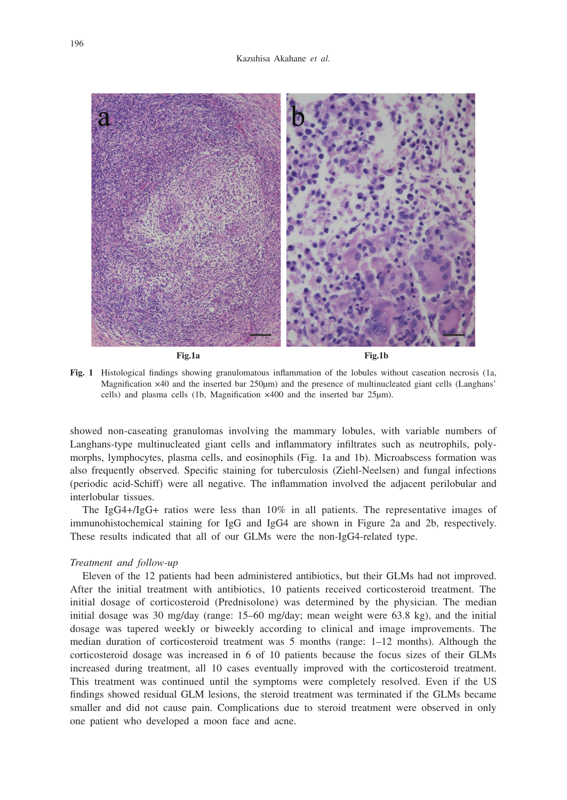

Fig.1a Fig.1b

**Fig. 1** Histological findings showing granulomatous inflammation of the lobules without caseation necrosis (1a, Magnification ×40 and the inserted bar 250μm) and the presence of multinucleated giant cells (Langhans' cells) and plasma cells (1b, Magnification ×400 and the inserted bar 25μm).

showed non-caseating granulomas involving the mammary lobules, with variable numbers of Langhans-type multinucleated giant cells and inflammatory infiltrates such as neutrophils, polymorphs, lymphocytes, plasma cells, and eosinophils (Fig. 1a and 1b). Microabscess formation was also frequently observed. Specific staining for tuberculosis (Ziehl-Neelsen) and fungal infections (periodic acid-Schiff) were all negative. The inflammation involved the adjacent perilobular and interlobular tissues.

The IgG4+/IgG+ ratios were less than 10% in all patients. The representative images of immunohistochemical staining for IgG and IgG4 are shown in Figure 2a and 2b, respectively. These results indicated that all of our GLMs were the non-IgG4-related type.

## *Treatment and follow-up*

Eleven of the 12 patients had been administered antibiotics, but their GLMs had not improved. After the initial treatment with antibiotics, 10 patients received corticosteroid treatment. The initial dosage of corticosteroid (Prednisolone) was determined by the physician. The median initial dosage was 30 mg/day (range: 15–60 mg/day; mean weight were 63.8 kg), and the initial dosage was tapered weekly or biweekly according to clinical and image improvements. The median duration of corticosteroid treatment was 5 months (range: 1–12 months). Although the corticosteroid dosage was increased in 6 of 10 patients because the focus sizes of their GLMs increased during treatment, all 10 cases eventually improved with the corticosteroid treatment. This treatment was continued until the symptoms were completely resolved. Even if the US findings showed residual GLM lesions, the steroid treatment was terminated if the GLMs became smaller and did not cause pain. Complications due to steroid treatment were observed in only one patient who developed a moon face and acne.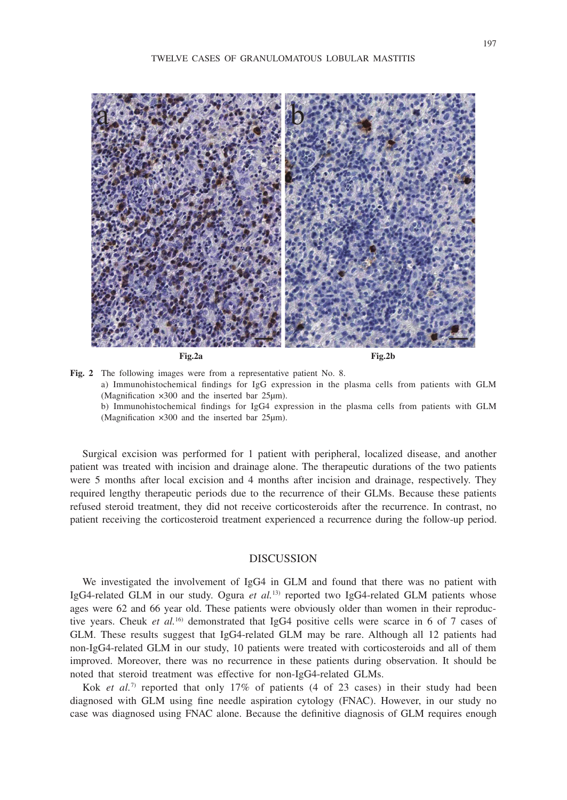

Fig. 2 The following images were from a representative patient No. 8. a) Immunohistochemical findings for IgG expression in the plasma cells from patients with GLM (Magnification ×300 and the inserted bar 25μm). b) Immunohistochemical findings for IgG4 expression in the plasma cells from patients with GLM (Magnification ×300 and the inserted bar 25μm).

Surgical excision was performed for 1 patient with peripheral, localized disease, and another patient was treated with incision and drainage alone. The therapeutic durations of the two patients were 5 months after local excision and 4 months after incision and drainage, respectively. They required lengthy therapeutic periods due to the recurrence of their GLMs. Because these patients refused steroid treatment, they did not receive corticosteroids after the recurrence. In contrast, no patient receiving the corticosteroid treatment experienced a recurrence during the follow-up period.

## DISCUSSION

We investigated the involvement of IgG4 in GLM and found that there was no patient with IgG4-related GLM in our study. Ogura *et al.*13) reported two IgG4-related GLM patients whose ages were 62 and 66 year old. These patients were obviously older than women in their reproductive years. Cheuk *et al.*16) demonstrated that IgG4 positive cells were scarce in 6 of 7 cases of GLM. These results suggest that IgG4-related GLM may be rare. Although all 12 patients had non-IgG4-related GLM in our study, 10 patients were treated with corticosteroids and all of them improved. Moreover, there was no recurrence in these patients during observation. It should be noted that steroid treatment was effective for non-IgG4-related GLMs.

Kok *et al.*<sup>7)</sup> reported that only 17% of patients (4 of 23 cases) in their study had been diagnosed with GLM using fine needle aspiration cytology (FNAC). However, in our study no case was diagnosed using FNAC alone. Because the definitive diagnosis of GLM requires enough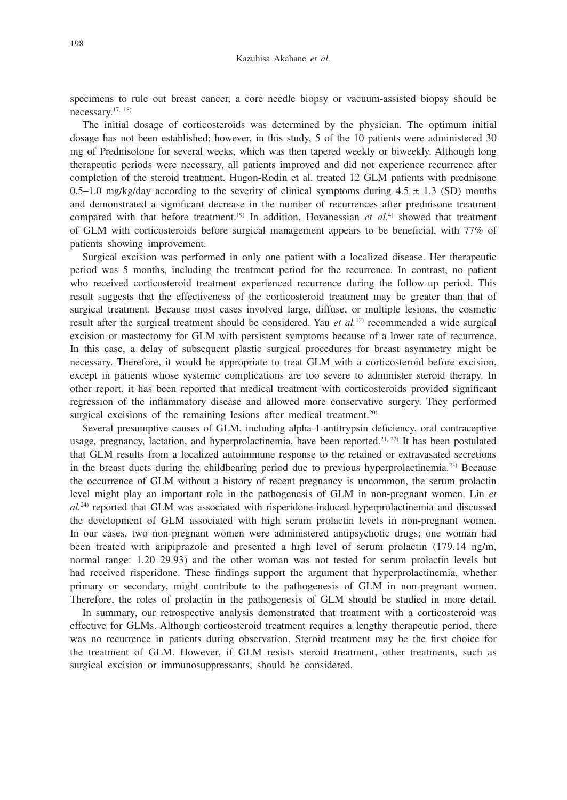specimens to rule out breast cancer, a core needle biopsy or vacuum-assisted biopsy should be necessary.17, 18)

The initial dosage of corticosteroids was determined by the physician. The optimum initial dosage has not been established; however, in this study, 5 of the 10 patients were administered 30 mg of Prednisolone for several weeks, which was then tapered weekly or biweekly. Although long therapeutic periods were necessary, all patients improved and did not experience recurrence after completion of the steroid treatment. Hugon-Rodin et al. treated 12 GLM patients with prednisone 0.5–1.0 mg/kg/day according to the severity of clinical symptoms during  $4.5 \pm 1.3$  (SD) months and demonstrated a significant decrease in the number of recurrences after prednisone treatment compared with that before treatment.<sup>19)</sup> In addition, Hovanessian *et al.*<sup>4)</sup> showed that treatment of GLM with corticosteroids before surgical management appears to be beneficial, with 77% of patients showing improvement.

Surgical excision was performed in only one patient with a localized disease. Her therapeutic period was 5 months, including the treatment period for the recurrence. In contrast, no patient who received corticosteroid treatment experienced recurrence during the follow-up period. This result suggests that the effectiveness of the corticosteroid treatment may be greater than that of surgical treatment. Because most cases involved large, diffuse, or multiple lesions, the cosmetic result after the surgical treatment should be considered. Yau *et al.*<sup>12)</sup> recommended a wide surgical excision or mastectomy for GLM with persistent symptoms because of a lower rate of recurrence. In this case, a delay of subsequent plastic surgical procedures for breast asymmetry might be necessary. Therefore, it would be appropriate to treat GLM with a corticosteroid before excision, except in patients whose systemic complications are too severe to administer steroid therapy. In other report, it has been reported that medical treatment with corticosteroids provided significant regression of the inflammatory disease and allowed more conservative surgery. They performed surgical excisions of the remaining lesions after medical treatment.<sup>20)</sup>

Several presumptive causes of GLM, including alpha-1-antitrypsin deficiency, oral contraceptive usage, pregnancy, lactation, and hyperprolactinemia, have been reported.<sup>21, 22)</sup> It has been postulated that GLM results from a localized autoimmune response to the retained or extravasated secretions in the breast ducts during the childbearing period due to previous hyperprolactinemia.23) Because the occurrence of GLM without a history of recent pregnancy is uncommon, the serum prolactin level might play an important role in the pathogenesis of GLM in non-pregnant women. Lin *et al.*24) reported that GLM was associated with risperidone-induced hyperprolactinemia and discussed the development of GLM associated with high serum prolactin levels in non-pregnant women. In our cases, two non-pregnant women were administered antipsychotic drugs; one woman had been treated with aripiprazole and presented a high level of serum prolactin (179.14 ng/m, normal range: 1.20–29.93) and the other woman was not tested for serum prolactin levels but had received risperidone. These findings support the argument that hyperprolactinemia, whether primary or secondary, might contribute to the pathogenesis of GLM in non-pregnant women. Therefore, the roles of prolactin in the pathogenesis of GLM should be studied in more detail.

In summary, our retrospective analysis demonstrated that treatment with a corticosteroid was effective for GLMs. Although corticosteroid treatment requires a lengthy therapeutic period, there was no recurrence in patients during observation. Steroid treatment may be the first choice for the treatment of GLM. However, if GLM resists steroid treatment, other treatments, such as surgical excision or immunosuppressants, should be considered.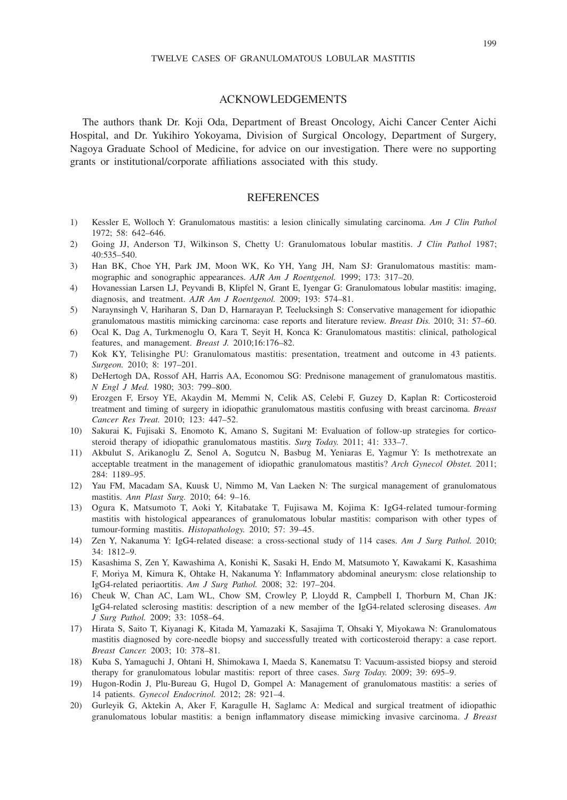#### ACKNOWLEDGEMENTS

The authors thank Dr. Koji Oda, Department of Breast Oncology, Aichi Cancer Center Aichi Hospital, and Dr. Yukihiro Yokoyama, Division of Surgical Oncology, Department of Surgery, Nagoya Graduate School of Medicine, for advice on our investigation. There were no supporting grants or institutional/corporate affiliations associated with this study.

## **REFERENCES**

- 1) Kessler E, Wolloch Y: Granulomatous mastitis: a lesion clinically simulating carcinoma. *Am J Clin Pathol* 1972; 58: 642–646.
- 2) Going JJ, Anderson TJ, Wilkinson S, Chetty U: Granulomatous lobular mastitis. *J Clin Pathol* 1987; 40:535–540.
- 3) Han BK, Choe YH, Park JM, Moon WK, Ko YH, Yang JH, Nam SJ: Granulomatous mastitis: mammographic and sonographic appearances. *AJR Am J Roentgenol.* 1999; 173: 317–20.
- 4) Hovanessian Larsen LJ, Peyvandi B, Klipfel N, Grant E, Iyengar G: Granulomatous lobular mastitis: imaging, diagnosis, and treatment. *AJR Am J Roentgenol.* 2009; 193: 574–81.
- 5) Naraynsingh V, Hariharan S, Dan D, Harnarayan P, Teelucksingh S: Conservative management for idiopathic granulomatous mastitis mimicking carcinoma: case reports and literature review. *Breast Dis.* 2010; 31: 57–60.
- 6) Ocal K, Dag A, Turkmenoglu O, Kara T, Seyit H, Konca K: Granulomatous mastitis: clinical, pathological features, and management. *Breast J.* 2010;16:176–82.
- 7) Kok KY, Telisinghe PU: Granulomatous mastitis: presentation, treatment and outcome in 43 patients. *Surgeon.* 2010; 8: 197–201.
- 8) DeHertogh DA, Rossof AH, Harris AA, Economou SG: Prednisone management of granulomatous mastitis. *N Engl J Med.* 1980; 303: 799–800.
- 9) Erozgen F, Ersoy YE, Akaydin M, Memmi N, Celik AS, Celebi F, Guzey D, Kaplan R: Corticosteroid treatment and timing of surgery in idiopathic granulomatous mastitis confusing with breast carcinoma. *Breast Cancer Res Treat.* 2010; 123: 447–52.
- 10) Sakurai K, Fujisaki S, Enomoto K, Amano S, Sugitani M: Evaluation of follow-up strategies for corticosteroid therapy of idiopathic granulomatous mastitis. *Surg Today.* 2011; 41: 333–7.
- 11) Akbulut S, Arikanoglu Z, Senol A, Sogutcu N, Basbug M, Yeniaras E, Yagmur Y: Is methotrexate an acceptable treatment in the management of idiopathic granulomatous mastitis? *Arch Gynecol Obstet.* 2011; 284: 1189–95.
- 12) Yau FM, Macadam SA, Kuusk U, Nimmo M, Van Laeken N: The surgical management of granulomatous mastitis. *Ann Plast Surg.* 2010; 64: 9–16.
- 13) Ogura K, Matsumoto T, Aoki Y, Kitabatake T, Fujisawa M, Kojima K: IgG4-related tumour-forming mastitis with histological appearances of granulomatous lobular mastitis: comparison with other types of tumour-forming mastitis. *Histopathology.* 2010; 57: 39–45.
- 14) Zen Y, Nakanuma Y: IgG4-related disease: a cross-sectional study of 114 cases. *Am J Surg Pathol.* 2010; 34: 1812–9.
- 15) Kasashima S, Zen Y, Kawashima A, Konishi K, Sasaki H, Endo M, Matsumoto Y, Kawakami K, Kasashima F, Moriya M, Kimura K, Ohtake H, Nakanuma Y: Inflammatory abdominal aneurysm: close relationship to IgG4-related periaortitis. *Am J Surg Pathol.* 2008; 32: 197–204.
- 16) Cheuk W, Chan AC, Lam WL, Chow SM, Crowley P, Lloydd R, Campbell I, Thorburn M, Chan JK: IgG4-related sclerosing mastitis: description of a new member of the IgG4-related sclerosing diseases. *Am J Surg Pathol.* 2009; 33: 1058–64.
- 17) Hirata S, Saito T, Kiyanagi K, Kitada M, Yamazaki K, Sasajima T, Ohsaki Y, Miyokawa N: Granulomatous mastitis diagnosed by core-needle biopsy and successfully treated with corticosteroid therapy: a case report. *Breast Cancer.* 2003; 10: 378–81.
- 18) Kuba S, Yamaguchi J, Ohtani H, Shimokawa I, Maeda S, Kanematsu T: Vacuum-assisted biopsy and steroid therapy for granulomatous lobular mastitis: report of three cases. *Surg Today.* 2009; 39: 695–9.
- 19) Hugon-Rodin J, Plu-Bureau G, Hugol D, Gompel A: Management of granulomatous mastitis: a series of 14 patients. *Gynecol Endocrinol.* 2012; 28: 921–4.
- 20) Gurleyik G, Aktekin A, Aker F, Karagulle H, Saglamc A: Medical and surgical treatment of idiopathic granulomatous lobular mastitis: a benign inflammatory disease mimicking invasive carcinoma. *J Breast*